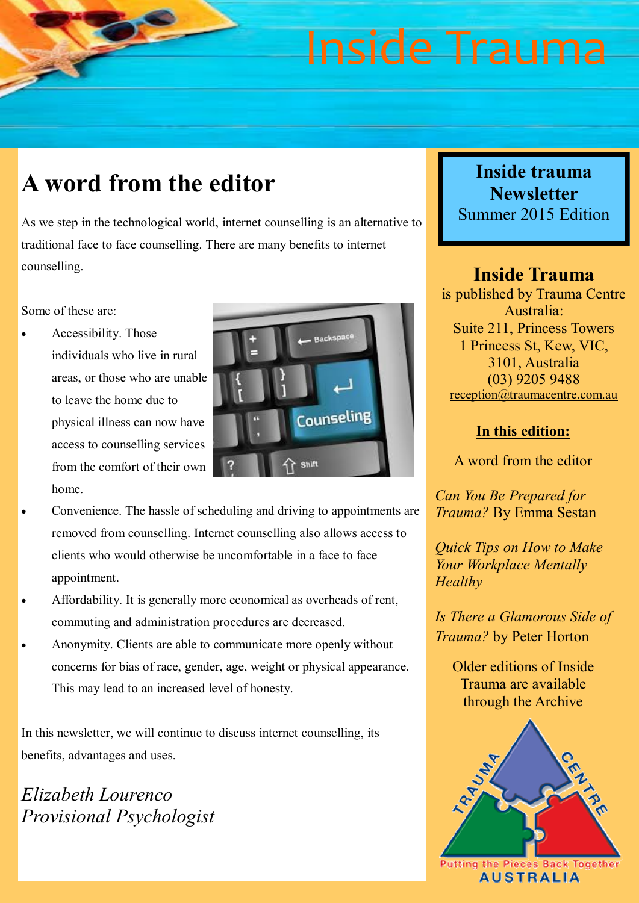### **A word from the editor**

As we step in the technological world, internet counselling is an alternative to traditional face to face counselling. There are many benefits to internet counselling.

Some of these are:

 Accessibility. Those individuals who live in rural areas, or those who are unable to leave the home due to physical illness can now have access to counselling services from the comfort of their own home.



- Convenience. The hassle of scheduling and driving to appointments are removed from counselling. Internet counselling also allows access to clients who would otherwise be uncomfortable in a face to face appointment.
- Affordability. It is generally more economical as overheads of rent, commuting and administration procedures are decreased.
- Anonymity. Clients are able to communicate more openly without concerns for bias of race, gender, age, weight or physical appearance. This may lead to an increased level of honesty.

In this newsletter, we will continue to discuss internet counselling, its benefits, advantages and uses.

*Elizabeth Lourenco Provisional Psychologist*

### **Inside trauma Newsletter** Summer 2015 Edition

**Inside Trauma** is published by Trauma Centre Australia: Suite 211, Princess Towers 1 Princess St, Kew, VIC, 3101, Australia (03) 9205 9488 [reception@traumacentre.com.au](mailto:reception@traumacentre.com.au)

#### **In this edition:**

A word from the editor

*Can You Be Prepared for Trauma?* By Emma Sestan

*Quick Tips on How to Make Your Workplace Mentally Healthy*

*Is There a Glamorous Side of Trauma?* by Peter Horton

Older editions of Inside Trauma are available through the Archive

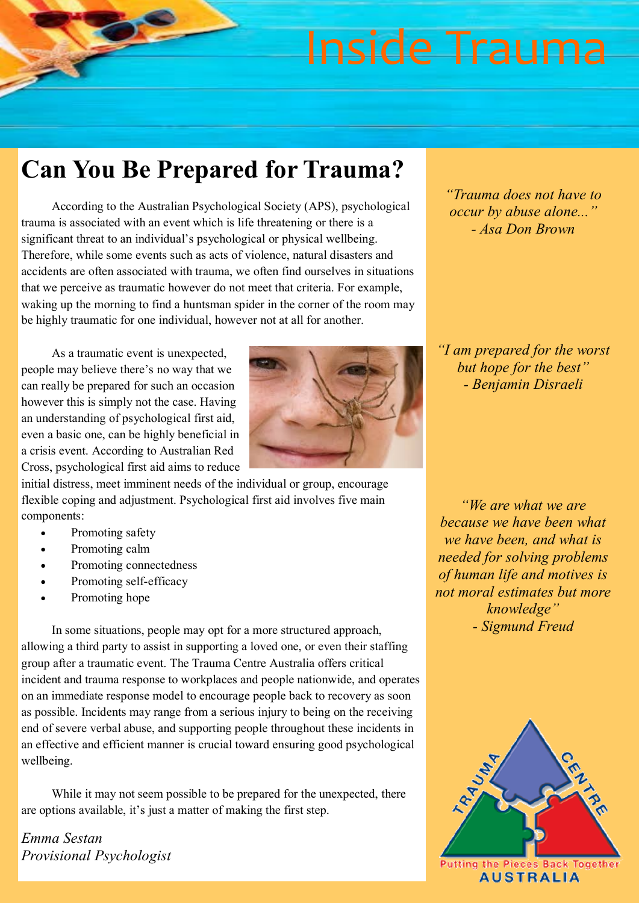### **Can You Be Prepared for Trauma?**

According to the Australian Psychological Society (APS), psychological trauma is associated with an event which is life threatening or there is a significant threat to an individual's psychological or physical wellbeing. Therefore, while some events such as acts of violence, natural disasters and accidents are often associated with trauma, we often find ourselves in situations that we perceive as traumatic however do not meet that criteria. For example, waking up the morning to find a huntsman spider in the corner of the room may be highly traumatic for one individual, however not at all for another.

As a traumatic event is unexpected, people may believe there's no way that we can really be prepared for such an occasion however this is simply not the case. Having an understanding of psychological first aid, even a basic one, can be highly beneficial in a crisis event. According to Australian Red Cross, psychological first aid aims to reduce



initial distress, meet imminent needs of the individual or group, encourage flexible coping and adjustment. Psychological first aid involves five main components:

- Promoting safety
- Promoting calm
- Promoting connectedness
- Promoting self-efficacy
- Promoting hope

In some situations, people may opt for a more structured approach, allowing a third party to assist in supporting a loved one, or even their staffing group after a traumatic event. The Trauma Centre Australia offers critical incident and trauma response to workplaces and people nationwide, and operates on an immediate response model to encourage people back to recovery as soon as possible. Incidents may range from a serious injury to being on the receiving end of severe verbal abuse, and supporting people throughout these incidents in an effective and efficient manner is crucial toward ensuring good psychological wellbeing.

While it may not seem possible to be prepared for the unexpected, there are options available, it's just a matter of making the first step.

*Emma Sestan Provisional Psychologist* *- Asa Don Brown*

*"Trauma does not have to occur by abuse alone..."*

*"I am prepared for the worst but hope for the best" - Benjamin Disraeli*

*"We are what we are because we have been what we have been, and what is needed for solving problems of human life and motives is not moral estimates but more knowledge" - Sigmund Freud*

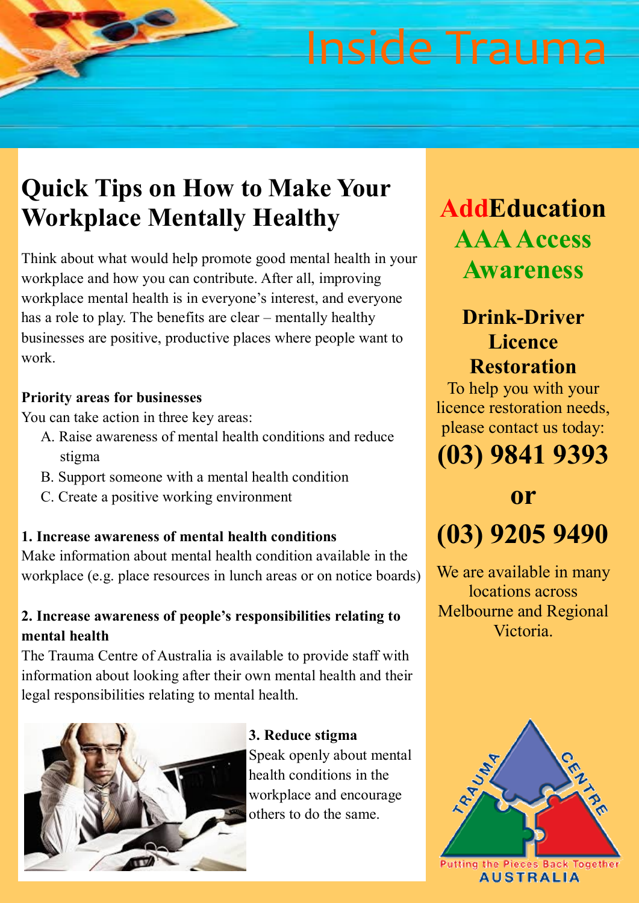## **Quick Tips on How to Make Your Workplace Mentally Healthy**

Think about what would help promote good mental health in your workplace and how you can contribute. After all, improving workplace mental health is in everyone's interest, and everyone has a role to play. The benefits are clear – mentally healthy businesses are positive, productive places where people want to work.

### **Priority areas for businesses**

You can take action in three key areas:

- A. Raise awareness of mental health conditions and reduce stigma
- B. Support someone with a mental health condition
- C. Create a positive working environment

### **1. Increase awareness of mental health conditions**

Make information about mental health condition available in the workplace (e.g. place resources in lunch areas or on notice boards)

### **2. Increase awareness of people's responsibilities relating to mental health**

The Trauma Centre of Australia is available to provide staff with information about looking after their own mental health and their legal responsibilities relating to mental health.



**3. Reduce stigma** Speak openly about mental health conditions in the workplace and encourage others to do the same.

## **AddEducation AAA Access Awareness**

### **Drink-Driver Licence Restoration**

To help you with your licence restoration needs, please contact us today:

## **(03) 9841 9393**

## **or (03) 9205 9490**

We are available in many locations across Melbourne and Regional Victoria.

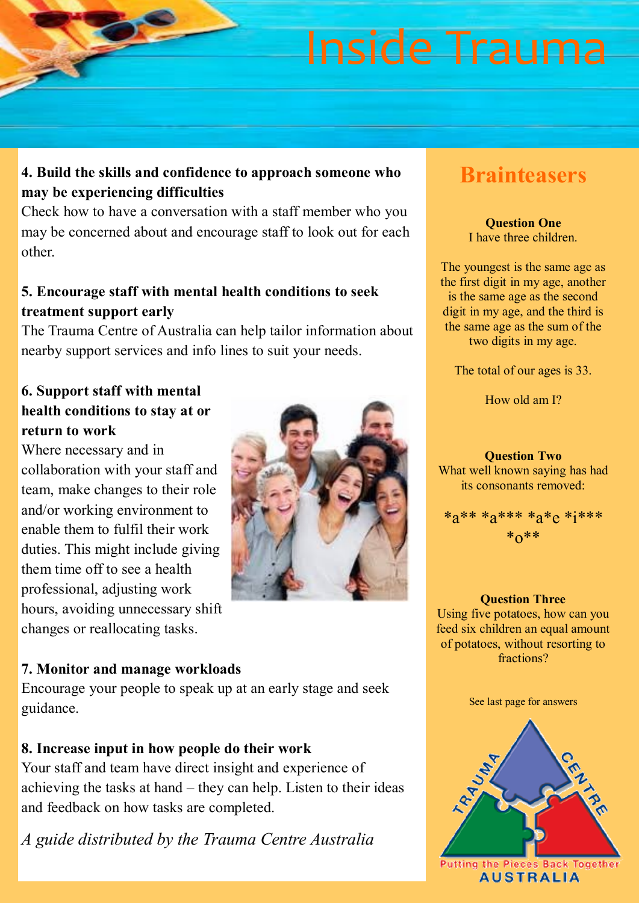### **4. Build the skills and confidence to approach someone who may be experiencing difficulties**

Check how to have a conversation with a staff member who you may be concerned about and encourage staff to look out for each other.

### **5. Encourage staff with mental health conditions to seek treatment support early**

The Trauma Centre of Australia can help tailor information about nearby support services and info lines to suit your needs.

#### **6. Support staff with mental health conditions to stay at or return to work**

Where necessary and in collaboration with your staff and team, make changes to their role and/or working environment to enable them to fulfil their work duties. This might include giving them time off to see a health professional, adjusting work hours, avoiding unnecessary shift changes or reallocating tasks.



### **7. Monitor and manage workloads**

Encourage your people to speak up at an early stage and seek guidance.

### **8. Increase input in how people do their work**

Your staff and team have direct insight and experience of achieving the tasks at hand – they can help. Listen to their ideas and feedback on how tasks are completed.

*A guide distributed by the Trauma Centre Australia*

### **Brainteasers**

#### **Question One** I have three children.

The youngest is the same age as the first digit in my age, another is the same age as the second digit in my age, and the third is the same age as the sum of the two digits in my age.

The total of our ages is 33.

How old am I?

**Question Two** What well known saying has had its consonants removed:

\*a\*\* \*a\*\*\* \*a\*e \*i\*\*\*  $*_{0}**$ 

**Question Three** Using five potatoes, how can you feed six children an equal amount of potatoes, without resorting to fractions?

See last page for answers

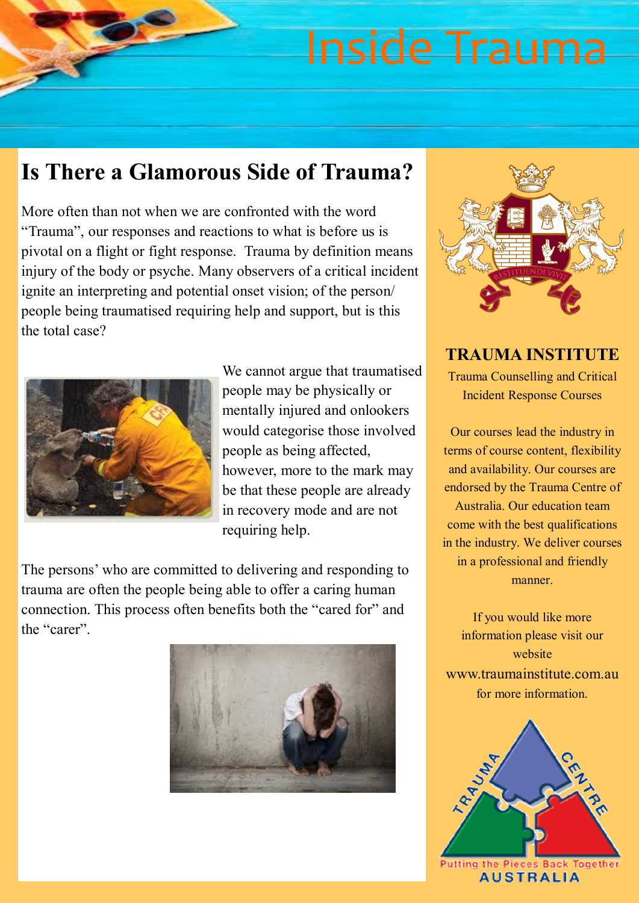### **Is There a Glamorous Side of Trauma?**

More often than not when we are confronted with the word "Trauma", our responses and reactions to what is before us is pivotal on a flight or fight response. Trauma by definition means injury of the body or psyche. Many observers of a critical incident ignite an interpreting and potential onset vision; of the person/ people being traumatised requiring help and support, but is this the total case?



We cannot argue that traumatised people may be physically or mentally injured and onlookers would categorise those involved people as being affected, however, more to the mark may be that these people are already in recovery mode and are not requiring help.

The persons' who are committed to delivering and responding to trauma are often the people being able to offer a caring human connection. This process often benefits both the "cared for" and the "carer".





**TRAUMA INSTITUTE** Trauma Counselling and Critical Incident Response Courses

Our courses lead the industry in terms of course content, flexibility and availability. Our courses are endorsed by the Trauma Centre of Australia. Our education team come with the best qualifications in the industry. We deliver courses in a professional and friendly manner.

If you would like more information please visit our website www.traumainstitute.com.au for more information.